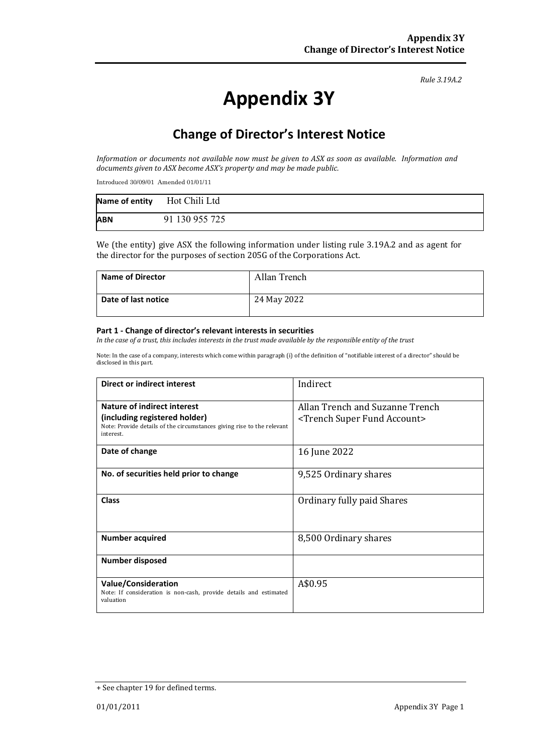*Rule 3.19A.2*

# **Appendix 3Y**

# **Change of Director's Interest Notice**

*Information or documents not available now must be given to ASX as soon as available. Information and documents given to ASX become ASX's property and may be made public.*

Introduced 30/09/01 Amended 01/01/11

|            | Name of entity Hot Chili Ltd |
|------------|------------------------------|
| <b>ABN</b> | 91 130 955 725               |

We (the entity) give ASX the following information under listing rule 3.19A.2 and as agent for the director for the purposes of section 205G of the Corporations Act.

| <b>Name of Director</b> | Allan Trench |
|-------------------------|--------------|
| Date of last notice     | 24 May 2022  |

#### **Part 1 - Change of director's relevant interests in securities**

*In the case of a trust, this includes interests in the trust made available by the responsible entity of the trust*

Note: In the case of a company, interests which come within paragraph (i) of the definition of "notifiable interest of a director" should be disclosed in this part.

| Direct or indirect interest                                                                                          | Indirect                                      |  |
|----------------------------------------------------------------------------------------------------------------------|-----------------------------------------------|--|
| Nature of indirect interest                                                                                          | Allan Trench and Suzanne Trench               |  |
| (including registered holder)<br>Note: Provide details of the circumstances giving rise to the relevant<br>interest. | <trench account="" fund="" super=""></trench> |  |
| Date of change                                                                                                       | 16 June 2022                                  |  |
| No. of securities held prior to change                                                                               | 9,525 Ordinary shares                         |  |
| <b>Class</b>                                                                                                         | Ordinary fully paid Shares                    |  |
| <b>Number acquired</b>                                                                                               | 8,500 Ordinary shares                         |  |
| <b>Number disposed</b>                                                                                               |                                               |  |
| <b>Value/Consideration</b><br>Note: If consideration is non-cash, provide details and estimated<br>valuation         | A\$0.95                                       |  |

<sup>+</sup> See chapter 19 for defined terms.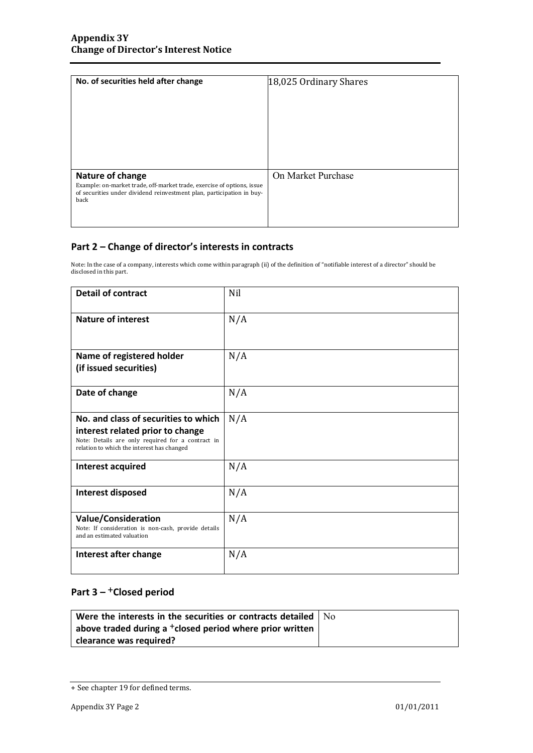| No. of securities held after change                                                                                                                                         | 18,025 Ordinary Shares |
|-----------------------------------------------------------------------------------------------------------------------------------------------------------------------------|------------------------|
| Nature of change<br>Example: on-market trade, off-market trade, exercise of options, issue<br>of securities under dividend reinvestment plan, participation in buy-<br>back | On Market Purchase     |

## **Part 2 – Change of director's interests in contracts**

Note: In the case of a company, interests which come within paragraph (ii) of the definition of "notifiable interest of a director" should be disclosed in this part.

| <b>Detail of contract</b>                                                                                                                                                   | Nil |  |
|-----------------------------------------------------------------------------------------------------------------------------------------------------------------------------|-----|--|
| <b>Nature of interest</b>                                                                                                                                                   | N/A |  |
| Name of registered holder<br>(if issued securities)                                                                                                                         | N/A |  |
| Date of change                                                                                                                                                              | N/A |  |
| No. and class of securities to which<br>interest related prior to change<br>Note: Details are only required for a contract in<br>relation to which the interest has changed | N/A |  |
| Interest acquired                                                                                                                                                           | N/A |  |
| Interest disposed                                                                                                                                                           | N/A |  |
| <b>Value/Consideration</b><br>Note: If consideration is non-cash, provide details<br>and an estimated valuation                                                             | N/A |  |
| Interest after change                                                                                                                                                       | N/A |  |

## **Part 3 –** +**Closed period**

| Were the interests in the securities or contracts detailed $\vert$ No |  |
|-----------------------------------------------------------------------|--|
| above traded during a $^+$ closed period where prior written          |  |
| clearance was required?                                               |  |

<sup>+</sup> See chapter 19 for defined terms.